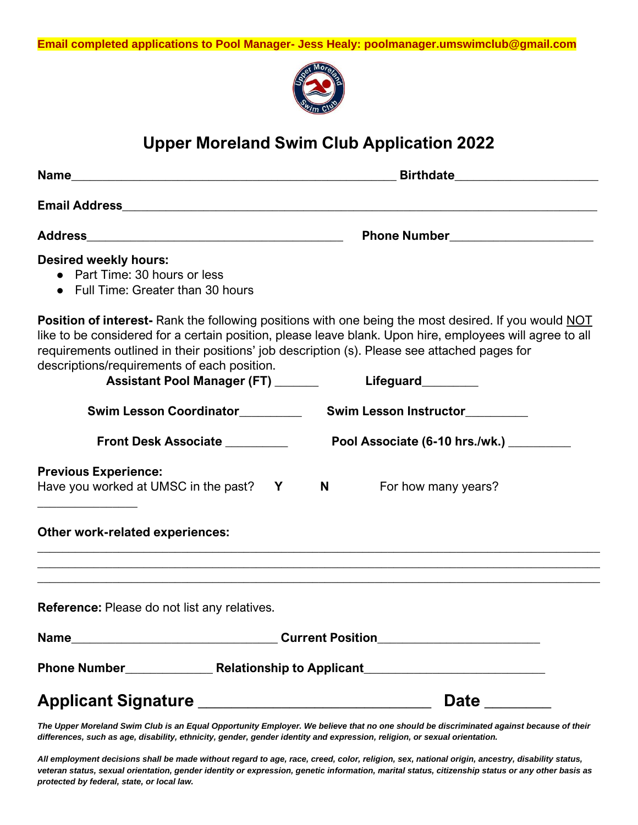

# **Upper Moreland Swim Club Application 2022**

|                                                                                                     | <b>Birthdate Example 2014</b>                                                                                                                                                                                                                                                                                                                |
|-----------------------------------------------------------------------------------------------------|----------------------------------------------------------------------------------------------------------------------------------------------------------------------------------------------------------------------------------------------------------------------------------------------------------------------------------------------|
|                                                                                                     |                                                                                                                                                                                                                                                                                                                                              |
|                                                                                                     |                                                                                                                                                                                                                                                                                                                                              |
| <b>Desired weekly hours:</b><br>• Part Time: 30 hours or less<br>• Full Time: Greater than 30 hours |                                                                                                                                                                                                                                                                                                                                              |
| descriptions/requirements of each position.<br><b>Assistant Pool Manager (FT)</b> _______           | <b>Position of interest-</b> Rank the following positions with one being the most desired. If you would NOT<br>like to be considered for a certain position, please leave blank. Upon hire, employees will agree to all<br>requirements outlined in their positions' job description (s). Please see attached pages for<br>Lifeguard________ |
|                                                                                                     | Swim Lesson Instructor                                                                                                                                                                                                                                                                                                                       |
| Front Desk Associate ________                                                                       | Pool Associate (6-10 hrs./wk.) __________                                                                                                                                                                                                                                                                                                    |
| <b>Previous Experience:</b><br>Have you worked at UMSC in the past? Y N                             | For how many years?                                                                                                                                                                                                                                                                                                                          |
| <b>Other work-related experiences:</b>                                                              |                                                                                                                                                                                                                                                                                                                                              |
|                                                                                                     |                                                                                                                                                                                                                                                                                                                                              |
| <b>Reference:</b> Please do not list any relatives.                                                 |                                                                                                                                                                                                                                                                                                                                              |
|                                                                                                     | Current Position__________________________                                                                                                                                                                                                                                                                                                   |
|                                                                                                     |                                                                                                                                                                                                                                                                                                                                              |
|                                                                                                     | Date ________                                                                                                                                                                                                                                                                                                                                |

*The Upper Moreland Swim Club is an Equal Opportunity Employer. We believe that no one should be discriminated against because of their differences, such as age, disability, ethnicity, gender, gender identity and expression, religion, or sexual orientation.*

*All employment decisions shall be made without regard to age, race, creed, color, religion, sex, national origin, ancestry, disability status, veteran status, sexual orientation, gender identity or expression, genetic information, marital status, citizenship status or any other basis as protected by federal, state, or local law.*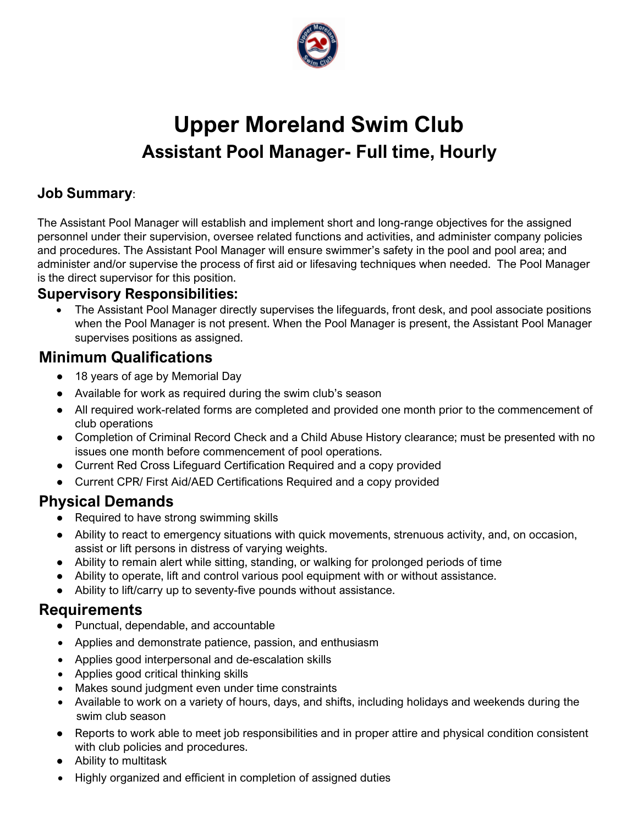

# **Upper Moreland Swim Club Assistant Pool Manager- Full time, Hourly**

#### **Job Summary**:

The Assistant Pool Manager will establish and implement short and long-range objectives for the assigned personnel under their supervision, oversee related functions and activities, and administer company policies and procedures. The Assistant Pool Manager will ensure swimmer's safety in the pool and pool area; and administer and/or supervise the process of first aid or lifesaving techniques when needed. The Pool Manager is the direct supervisor for this position.

#### **Supervisory Responsibilities:**

• The Assistant Pool Manager directly supervises the lifeguards, front desk, and pool associate positions when the Pool Manager is not present. When the Pool Manager is present, the Assistant Pool Manager supervises positions as assigned.

#### **Minimum Qualifications**

- 18 years of age by Memorial Day
- Available for work as required during the swim club's season
- All required work-related forms are completed and provided one month prior to the commencement of club operations
- Completion of Criminal Record Check and a Child Abuse History clearance; must be presented with no issues one month before commencement of pool operations.
- Current Red Cross Lifeguard Certification Required and a copy provided
- Current CPR/ First Aid/AED Certifications Required and a copy provided

#### **Physical Demands**

- Required to have strong swimming skills
- Ability to react to emergency situations with quick movements, strenuous activity, and, on occasion, assist or lift persons in distress of varying weights.
- Ability to remain alert while sitting, standing, or walking for prolonged periods of time
- Ability to operate, lift and control various pool equipment with or without assistance.
- Ability to lift/carry up to seventy-five pounds without assistance.

- Punctual, dependable, and accountable
- Applies and demonstrate patience, passion, and enthusiasm
- Applies good interpersonal and de-escalation skills
- Applies good critical thinking skills
- Makes sound judgment even under time constraints
- Available to work on a variety of hours, days, and shifts, including holidays and weekends during the swim club season
- Reports to work able to meet job responsibilities and in proper attire and physical condition consistent with club policies and procedures.
- Ability to multitask
- Highly organized and efficient in completion of assigned duties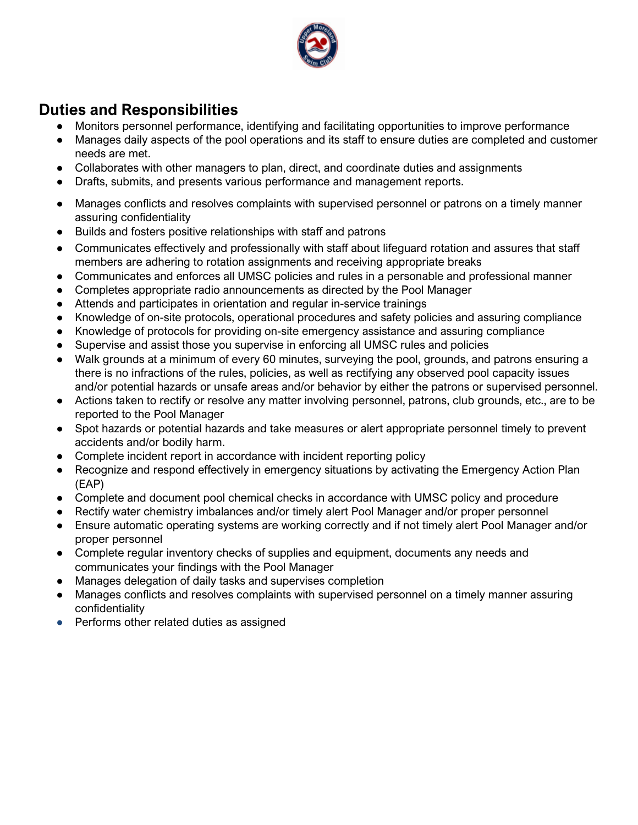

- Monitors personnel performance, identifying and facilitating opportunities to improve performance
- Manages daily aspects of the pool operations and its staff to ensure duties are completed and customer needs are met.
- Collaborates with other managers to plan, direct, and coordinate duties and assignments
- Drafts, submits, and presents various performance and management reports.
- Manages conflicts and resolves complaints with supervised personnel or patrons on a timely manner assuring confidentiality
- Builds and fosters positive relationships with staff and patrons
- Communicates effectively and professionally with staff about lifeguard rotation and assures that staff members are adhering to rotation assignments and receiving appropriate breaks
- Communicates and enforces all UMSC policies and rules in a personable and professional manner
- Completes appropriate radio announcements as directed by the Pool Manager
- Attends and participates in orientation and regular in-service trainings
- Knowledge of on-site protocols, operational procedures and safety policies and assuring compliance
- Knowledge of protocols for providing on-site emergency assistance and assuring compliance
- Supervise and assist those you supervise in enforcing all UMSC rules and policies
- Walk grounds at a minimum of every 60 minutes, surveying the pool, grounds, and patrons ensuring a there is no infractions of the rules, policies, as well as rectifying any observed pool capacity issues and/or potential hazards or unsafe areas and/or behavior by either the patrons or supervised personnel.
- Actions taken to rectify or resolve any matter involving personnel, patrons, club grounds, etc., are to be reported to the Pool Manager
- Spot hazards or potential hazards and take measures or alert appropriate personnel timely to prevent accidents and/or bodily harm.
- Complete incident report in accordance with incident reporting policy
- Recognize and respond effectively in emergency situations by activating the Emergency Action Plan (EAP)
- Complete and document pool chemical checks in accordance with UMSC policy and procedure
- Rectify water chemistry imbalances and/or timely alert Pool Manager and/or proper personnel
- Ensure automatic operating systems are working correctly and if not timely alert Pool Manager and/or proper personnel
- Complete regular inventory checks of supplies and equipment, documents any needs and communicates your findings with the Pool Manager
- Manages delegation of daily tasks and supervises completion
- Manages conflicts and resolves complaints with supervised personnel on a timely manner assuring confidentiality
- Performs other related duties as assigned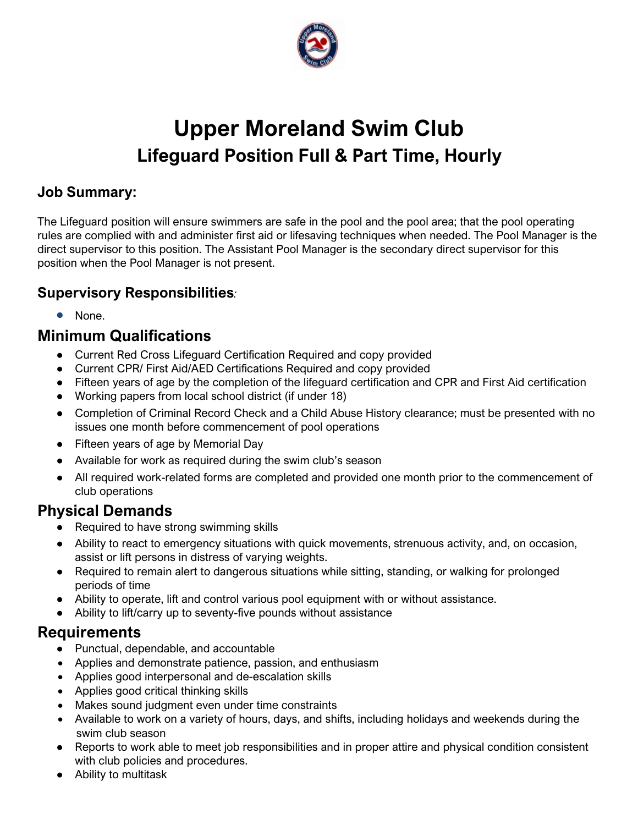

# **Upper Moreland Swim Club Lifeguard Position Full & Part Time, Hourly**

#### **Job Summary:**

The Lifeguard position will ensure swimmers are safe in the pool and the pool area; that the pool operating rules are complied with and administer first aid or lifesaving techniques when needed. The Pool Manager is the direct supervisor to this position. The Assistant Pool Manager is the secondary direct supervisor for this position when the Pool Manager is not present.

#### **Supervisory Responsibilities***:*

• None.

### **Minimum Qualifications**

- Current Red Cross Lifeguard Certification Required and copy provided
- Current CPR/ First Aid/AED Certifications Required and copy provided
- Fifteen years of age by the completion of the lifeguard certification and CPR and First Aid certification
- Working papers from local school district (if under 18)
- Completion of Criminal Record Check and a Child Abuse History clearance; must be presented with no issues one month before commencement of pool operations
- Fifteen years of age by Memorial Day
- Available for work as required during the swim club's season
- All required work-related forms are completed and provided one month prior to the commencement of club operations

#### **Physical Demands**

- Required to have strong swimming skills
- Ability to react to emergency situations with quick movements, strenuous activity, and, on occasion, assist or lift persons in distress of varying weights.
- Required to remain alert to dangerous situations while sitting, standing, or walking for prolonged periods of time
- Ability to operate, lift and control various pool equipment with or without assistance.
- Ability to lift/carry up to seventy-five pounds without assistance

- Punctual, dependable, and accountable
- Applies and demonstrate patience, passion, and enthusiasm
- Applies good interpersonal and de-escalation skills
- Applies good critical thinking skills
- Makes sound judgment even under time constraints
- Available to work on a variety of hours, days, and shifts, including holidays and weekends during the swim club season
- Reports to work able to meet job responsibilities and in proper attire and physical condition consistent with club policies and procedures.
- Ability to multitask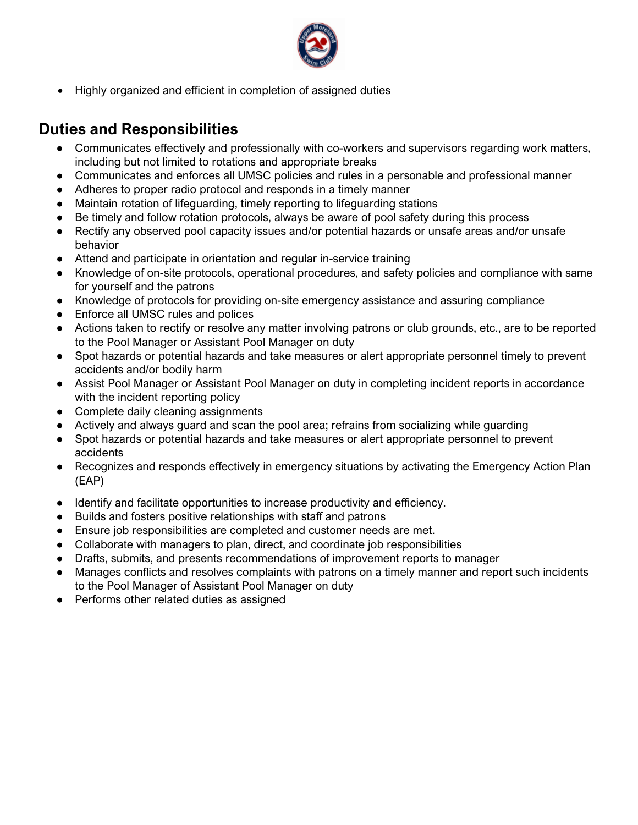

• Highly organized and efficient in completion of assigned duties

- Communicates effectively and professionally with co-workers and supervisors regarding work matters, including but not limited to rotations and appropriate breaks
- Communicates and enforces all UMSC policies and rules in a personable and professional manner
- Adheres to proper radio protocol and responds in a timely manner
- Maintain rotation of lifeguarding, timely reporting to lifeguarding stations
- Be timely and follow rotation protocols, always be aware of pool safety during this process
- Rectify any observed pool capacity issues and/or potential hazards or unsafe areas and/or unsafe behavior
- Attend and participate in orientation and regular in-service training
- Knowledge of on-site protocols, operational procedures, and safety policies and compliance with same for yourself and the patrons
- Knowledge of protocols for providing on-site emergency assistance and assuring compliance
- Enforce all UMSC rules and polices
- Actions taken to rectify or resolve any matter involving patrons or club grounds, etc., are to be reported to the Pool Manager or Assistant Pool Manager on duty
- Spot hazards or potential hazards and take measures or alert appropriate personnel timely to prevent accidents and/or bodily harm
- Assist Pool Manager or Assistant Pool Manager on duty in completing incident reports in accordance with the incident reporting policy
- Complete daily cleaning assignments
- Actively and always guard and scan the pool area; refrains from socializing while guarding
- Spot hazards or potential hazards and take measures or alert appropriate personnel to prevent accidents
- Recognizes and responds effectively in emergency situations by activating the Emergency Action Plan (EAP)
- Identify and facilitate opportunities to increase productivity and efficiency.
- Builds and fosters positive relationships with staff and patrons
- Ensure job responsibilities are completed and customer needs are met.
- Collaborate with managers to plan, direct, and coordinate job responsibilities
- Drafts, submits, and presents recommendations of improvement reports to manager
- Manages conflicts and resolves complaints with patrons on a timely manner and report such incidents to the Pool Manager of Assistant Pool Manager on duty
- Performs other related duties as assigned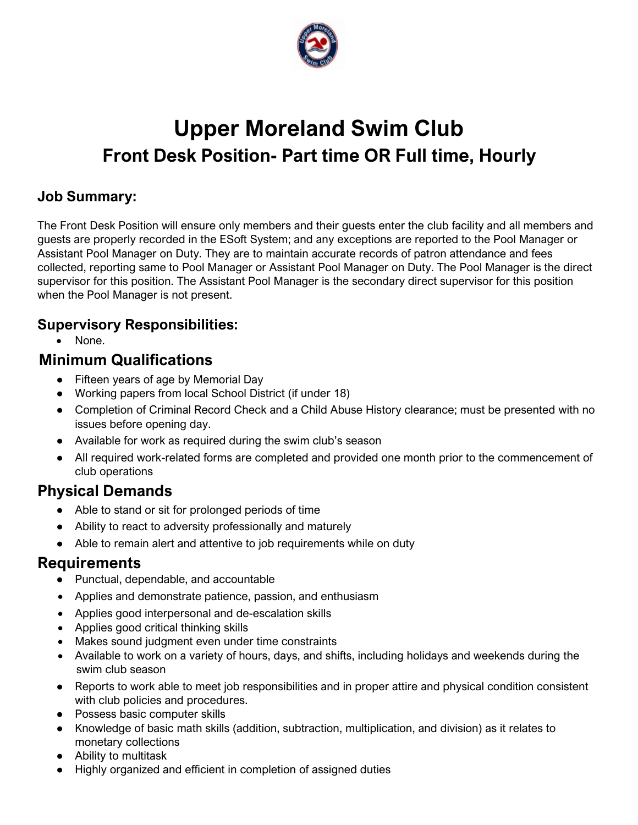

# **Upper Moreland Swim Club Front Desk Position- Part time OR Full time, Hourly**

#### **Job Summary:**

The Front Desk Position will ensure only members and their guests enter the club facility and all members and guests are properly recorded in the ESoft System; and any exceptions are reported to the Pool Manager or Assistant Pool Manager on Duty. They are to maintain accurate records of patron attendance and fees collected, reporting same to Pool Manager or Assistant Pool Manager on Duty. The Pool Manager is the direct supervisor for this position. The Assistant Pool Manager is the secondary direct supervisor for this position when the Pool Manager is not present.

#### **Supervisory Responsibilities:**

• None.

#### **Minimum Qualifications**

- Fifteen years of age by Memorial Day
- Working papers from local School District (if under 18)
- Completion of Criminal Record Check and a Child Abuse History clearance; must be presented with no issues before opening day.
- Available for work as required during the swim club's season
- All required work-related forms are completed and provided one month prior to the commencement of club operations

## **Physical Demands**

- Able to stand or sit for prolonged periods of time
- Ability to react to adversity professionally and maturely
- Able to remain alert and attentive to job requirements while on duty

- Punctual, dependable, and accountable
- Applies and demonstrate patience, passion, and enthusiasm
- Applies good interpersonal and de-escalation skills
- Applies good critical thinking skills
- Makes sound judgment even under time constraints
- Available to work on a variety of hours, days, and shifts, including holidays and weekends during the swim club season
- Reports to work able to meet job responsibilities and in proper attire and physical condition consistent with club policies and procedures.
- Possess basic computer skills
- Knowledge of basic math skills (addition, subtraction, multiplication, and division) as it relates to monetary collections
- Ability to multitask
- Highly organized and efficient in completion of assigned duties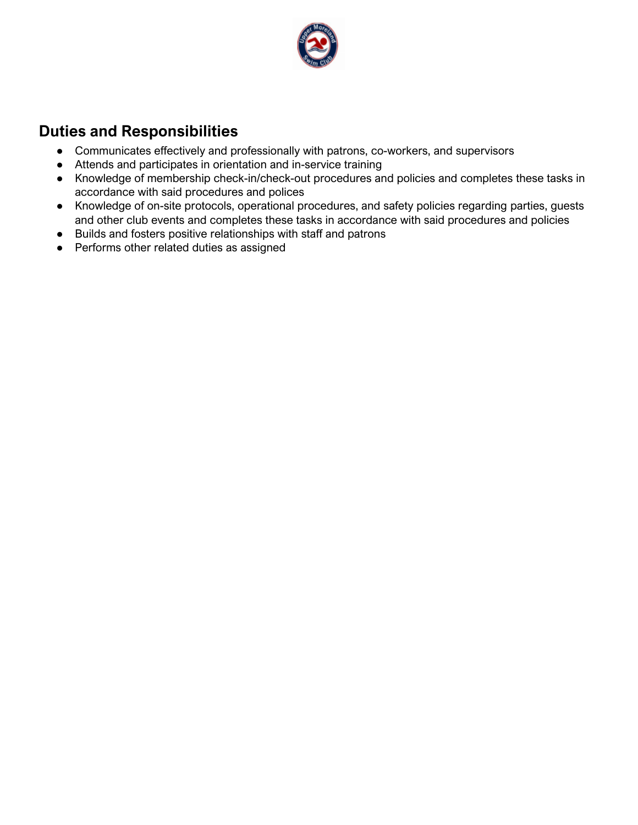

- Communicates effectively and professionally with patrons, co-workers, and supervisors
- Attends and participates in orientation and in-service training
- Knowledge of membership check-in/check-out procedures and policies and completes these tasks in accordance with said procedures and polices
- Knowledge of on-site protocols, operational procedures, and safety policies regarding parties, guests and other club events and completes these tasks in accordance with said procedures and policies
- Builds and fosters positive relationships with staff and patrons
- Performs other related duties as assigned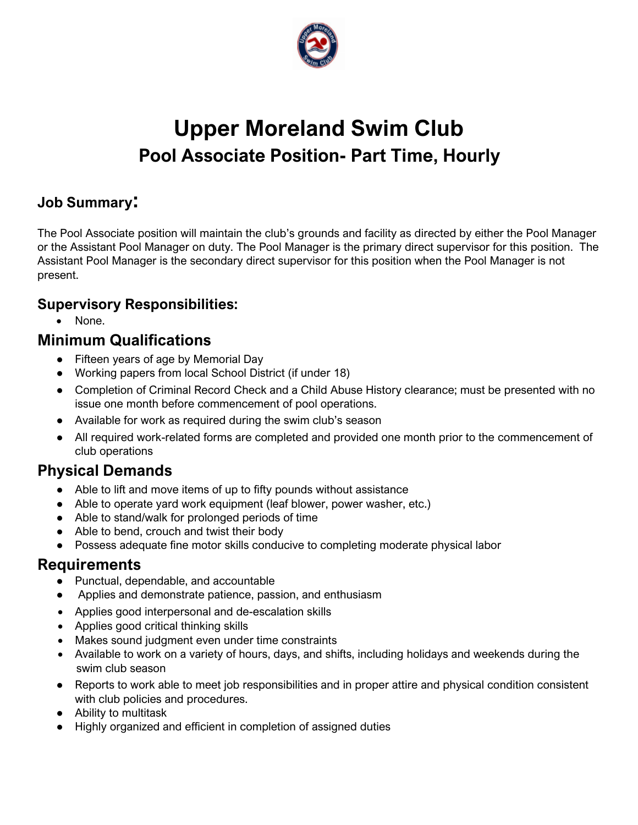

# **Upper Moreland Swim Club Pool Associate Position- Part Time, Hourly**

### **Job Summary:**

The Pool Associate position will maintain the club's grounds and facility as directed by either the Pool Manager or the Assistant Pool Manager on duty. The Pool Manager is the primary direct supervisor for this position. The Assistant Pool Manager is the secondary direct supervisor for this position when the Pool Manager is not present.

#### **Supervisory Responsibilities:**

• None.

#### **Minimum Qualifications**

- Fifteen years of age by Memorial Day
- Working papers from local School District (if under 18)
- Completion of Criminal Record Check and a Child Abuse History clearance; must be presented with no issue one month before commencement of pool operations.
- Available for work as required during the swim club's season
- All required work-related forms are completed and provided one month prior to the commencement of club operations

## **Physical Demands**

- Able to lift and move items of up to fifty pounds without assistance
- Able to operate yard work equipment (leaf blower, power washer, etc.)
- Able to stand/walk for prolonged periods of time
- Able to bend, crouch and twist their body
- Possess adequate fine motor skills conducive to completing moderate physical labor

- Punctual, dependable, and accountable
- Applies and demonstrate patience, passion, and enthusiasm
- Applies good interpersonal and de-escalation skills
- Applies good critical thinking skills
- Makes sound judgment even under time constraints
- Available to work on a variety of hours, days, and shifts, including holidays and weekends during the swim club season
- Reports to work able to meet job responsibilities and in proper attire and physical condition consistent with club policies and procedures.
- Ability to multitask
- Highly organized and efficient in completion of assigned duties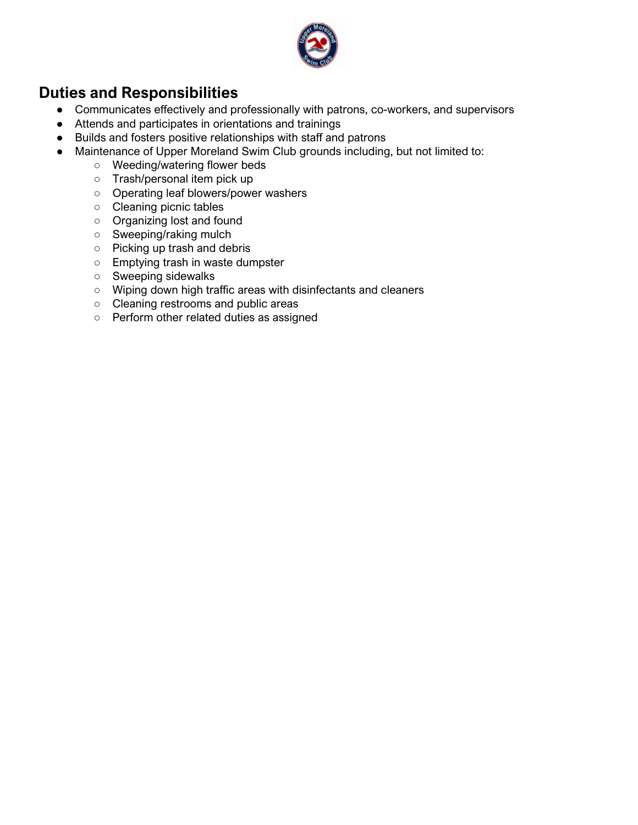

- Communicates effectively and professionally with patrons, co-workers, and supervisors
- Attends and participates in orientations and trainings
- Builds and fosters positive relationships with staff and patrons
- Maintenance of Upper Moreland Swim Club grounds including, but not limited to:
	- Weeding/watering flower beds
		- Trash/personal item pick up
		- Operating leaf blowers/power washers
		- Cleaning picnic tables
		- Organizing lost and found
		- Sweeping/raking mulch
		- Picking up trash and debris
		- Emptying trash in waste dumpster
		- Sweeping sidewalks
		- Wiping down high traffic areas with disinfectants and cleaners
		- Cleaning restrooms and public areas
		- Perform other related duties as assigned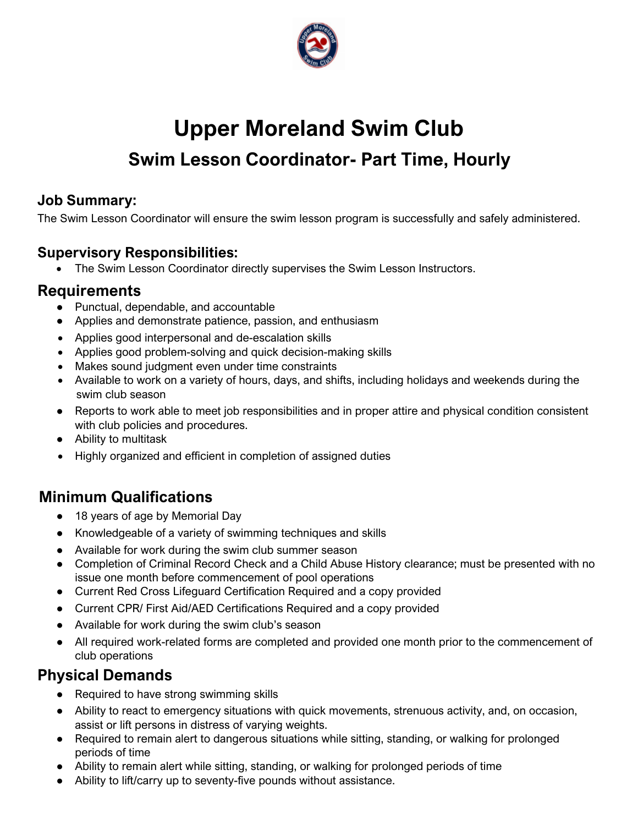

# **Upper Moreland Swim Club**

# **Swim Lesson Coordinator- Part Time, Hourly**

#### **Job Summary:**

The Swim Lesson Coordinator will ensure the swim lesson program is successfully and safely administered.

#### **Supervisory Responsibilities:**

• The Swim Lesson Coordinator directly supervises the Swim Lesson Instructors.

#### **Requirements**

- Punctual, dependable, and accountable
- Applies and demonstrate patience, passion, and enthusiasm
- Applies good interpersonal and de-escalation skills
- Applies good problem-solving and quick decision-making skills
- Makes sound judgment even under time constraints
- Available to work on a variety of hours, days, and shifts, including holidays and weekends during the swim club season
- Reports to work able to meet job responsibilities and in proper attire and physical condition consistent with club policies and procedures.
- Ability to multitask
- Highly organized and efficient in completion of assigned duties

## **Minimum Qualifications**

- 18 years of age by Memorial Day
- Knowledgeable of a variety of swimming techniques and skills
- Available for work during the swim club summer season
- Completion of Criminal Record Check and a Child Abuse History clearance; must be presented with no issue one month before commencement of pool operations
- Current Red Cross Lifeguard Certification Required and a copy provided
- Current CPR/ First Aid/AED Certifications Required and a copy provided
- Available for work during the swim club's season
- All required work-related forms are completed and provided one month prior to the commencement of club operations

#### **Physical Demands**

- Required to have strong swimming skills
- Ability to react to emergency situations with quick movements, strenuous activity, and, on occasion, assist or lift persons in distress of varying weights.
- Required to remain alert to dangerous situations while sitting, standing, or walking for prolonged periods of time
- Ability to remain alert while sitting, standing, or walking for prolonged periods of time
- Ability to lift/carry up to seventy-five pounds without assistance.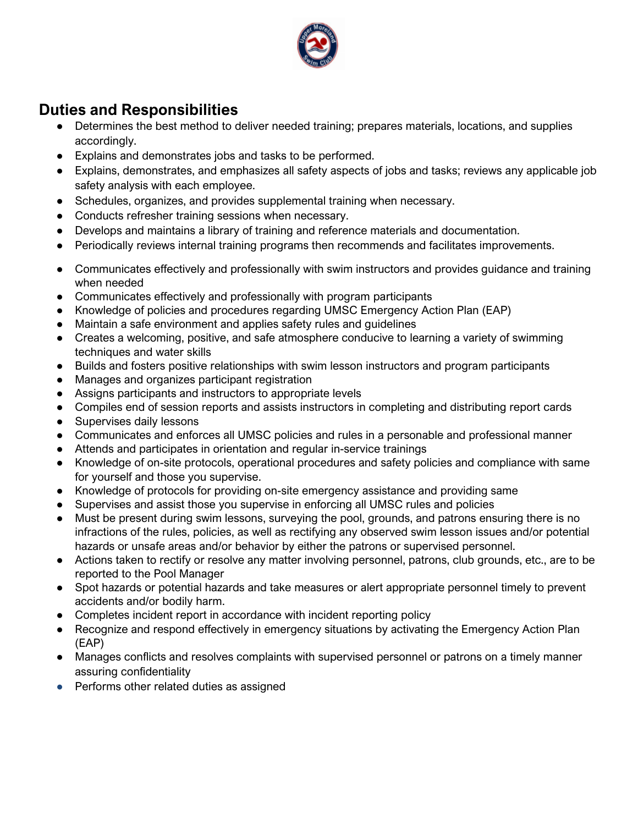

- Determines the best method to deliver needed training; prepares materials, locations, and supplies accordingly.
- Explains and demonstrates jobs and tasks to be performed.
- Explains, demonstrates, and emphasizes all safety aspects of jobs and tasks; reviews any applicable job safety analysis with each employee.
- Schedules, organizes, and provides supplemental training when necessary.
- Conducts refresher training sessions when necessary.
- Develops and maintains a library of training and reference materials and documentation.
- Periodically reviews internal training programs then recommends and facilitates improvements.
- Communicates effectively and professionally with swim instructors and provides guidance and training when needed
- Communicates effectively and professionally with program participants
- Knowledge of policies and procedures regarding UMSC Emergency Action Plan (EAP)
- Maintain a safe environment and applies safety rules and guidelines
- Creates a welcoming, positive, and safe atmosphere conducive to learning a variety of swimming techniques and water skills
- Builds and fosters positive relationships with swim lesson instructors and program participants
- Manages and organizes participant registration
- Assigns participants and instructors to appropriate levels
- Compiles end of session reports and assists instructors in completing and distributing report cards
- Supervises daily lessons
- Communicates and enforces all UMSC policies and rules in a personable and professional manner
- Attends and participates in orientation and regular in-service trainings
- Knowledge of on-site protocols, operational procedures and safety policies and compliance with same for yourself and those you supervise.
- Knowledge of protocols for providing on-site emergency assistance and providing same
- Supervises and assist those you supervise in enforcing all UMSC rules and policies
- Must be present during swim lessons, surveying the pool, grounds, and patrons ensuring there is no infractions of the rules, policies, as well as rectifying any observed swim lesson issues and/or potential hazards or unsafe areas and/or behavior by either the patrons or supervised personnel.
- Actions taken to rectify or resolve any matter involving personnel, patrons, club grounds, etc., are to be reported to the Pool Manager
- Spot hazards or potential hazards and take measures or alert appropriate personnel timely to prevent accidents and/or bodily harm.
- Completes incident report in accordance with incident reporting policy
- Recognize and respond effectively in emergency situations by activating the Emergency Action Plan (EAP)
- Manages conflicts and resolves complaints with supervised personnel or patrons on a timely manner assuring confidentiality
- Performs other related duties as assigned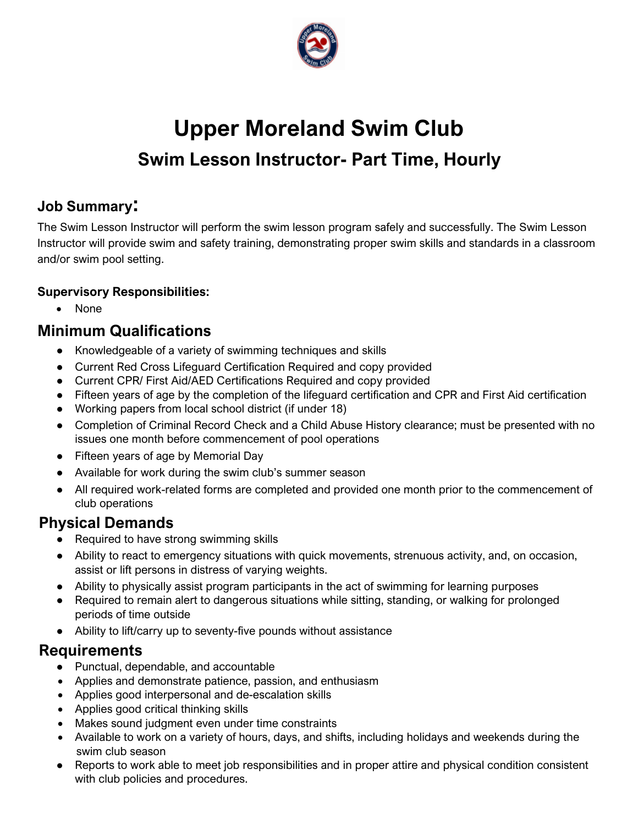

# **Upper Moreland Swim Club Swim Lesson Instructor- Part Time, Hourly**

#### **Job Summary:**

The Swim Lesson Instructor will perform the swim lesson program safely and successfully. The Swim Lesson Instructor will provide swim and safety training, demonstrating proper swim skills and standards in a classroom and/or swim pool setting.

#### **Supervisory Responsibilities:**

• None

## **Minimum Qualifications**

- Knowledgeable of a variety of swimming techniques and skills
- Current Red Cross Lifeguard Certification Required and copy provided
- Current CPR/ First Aid/AED Certifications Required and copy provided
- Fifteen years of age by the completion of the lifeguard certification and CPR and First Aid certification
- Working papers from local school district (if under 18)
- Completion of Criminal Record Check and a Child Abuse History clearance; must be presented with no issues one month before commencement of pool operations
- Fifteen years of age by Memorial Day
- Available for work during the swim club's summer season
- All required work-related forms are completed and provided one month prior to the commencement of club operations

## **Physical Demands**

- Required to have strong swimming skills
- Ability to react to emergency situations with quick movements, strenuous activity, and, on occasion, assist or lift persons in distress of varying weights.
- Ability to physically assist program participants in the act of swimming for learning purposes
- Required to remain alert to dangerous situations while sitting, standing, or walking for prolonged periods of time outside
- Ability to lift/carry up to seventy-five pounds without assistance

- Punctual, dependable, and accountable
- Applies and demonstrate patience, passion, and enthusiasm
- Applies good interpersonal and de-escalation skills
- Applies good critical thinking skills
- Makes sound judgment even under time constraints
- Available to work on a variety of hours, days, and shifts, including holidays and weekends during the swim club season
- Reports to work able to meet job responsibilities and in proper attire and physical condition consistent with club policies and procedures.